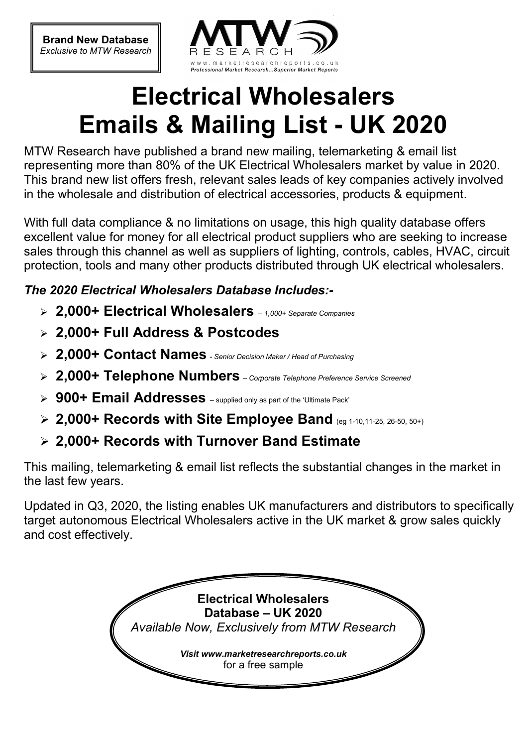**Brand New Database**  *Exclusive to MTW Research* 



# **Electrical Wholesalers Emails & Mailing List - UK 2020**

MTW Research have published a brand new mailing, telemarketing & email list representing more than 80% of the UK Electrical Wholesalers market by value in 2020. This brand new list offers fresh, relevant sales leads of key companies actively involved in the wholesale and distribution of electrical accessories, products & equipment.

With full data compliance & no limitations on usage, this high quality database offers excellent value for money for all electrical product suppliers who are seeking to increase sales through this channel as well as suppliers of lighting, controls, cables, HVAC, circuit protection, tools and many other products distributed through UK electrical wholesalers.

### *The 2020 Electrical Wholesalers Database Includes:-*

- **2,000+ Electrical Wholesalers**  *1,000+ Separate Companies*
- **2,000+ Full Address & Postcodes**
- **2,000+ Contact Names**  *Senior Decision Maker / Head of Purchasing*
- **2,000+ Telephone Numbers**  *Corporate Telephone Preference Service Screened*
- > 900+ Email Addresses supplied only as part of the 'Ultimate Pack'
- **2,000+ Records with Site Employee Band** (eg 1-10,11-25, 26-50, 50+)
- **2,000+ Records with Turnover Band Estimate**

This mailing, telemarketing & email list reflects the substantial changes in the market in the last few years.

Updated in Q3, 2020, the listing enables UK manufacturers and distributors to specifically target autonomous Electrical Wholesalers active in the UK market & grow sales quickly and cost effectively.